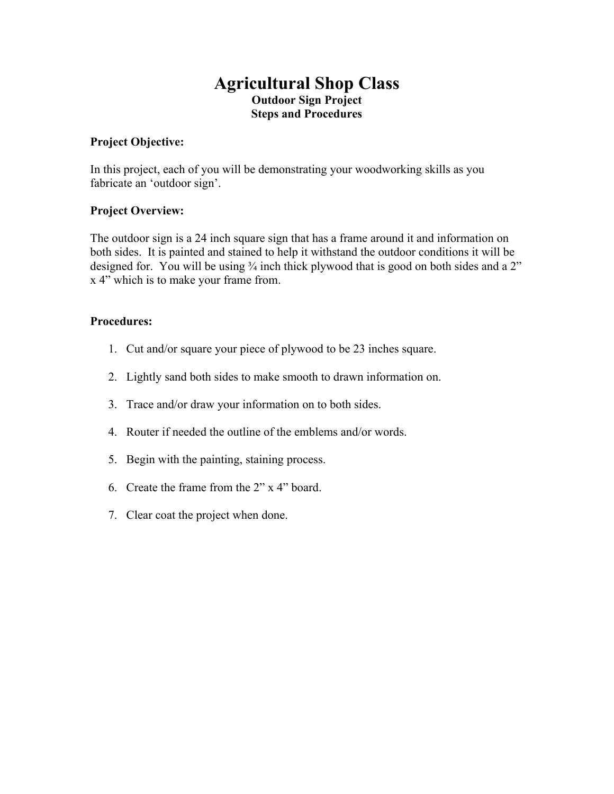# **Agricultural Shop Class Outdoor Sign Project Steps and Procedures**

### **Project Objective:**

In this project, each of you will be demonstrating your woodworking skills as you fabricate an 'outdoor sign'.

#### **Project Overview:**

The outdoor sign is a 24 inch square sign that has a frame around it and information on both sides. It is painted and stained to help it withstand the outdoor conditions it will be designed for. You will be using  $\frac{3}{4}$  inch thick plywood that is good on both sides and a 2" x 4" which is to make your frame from.

#### **Procedures:**

- 1. Cut and/or square your piece of plywood to be 23 inches square.
- 2. Lightly sand both sides to make smooth to drawn information on.
- 3. Trace and/or draw your information on to both sides.
- 4. Router if needed the outline of the emblems and/or words.
- 5. Begin with the painting, staining process.
- 6. Create the frame from the 2" x 4" board.
- 7. Clear coat the project when done.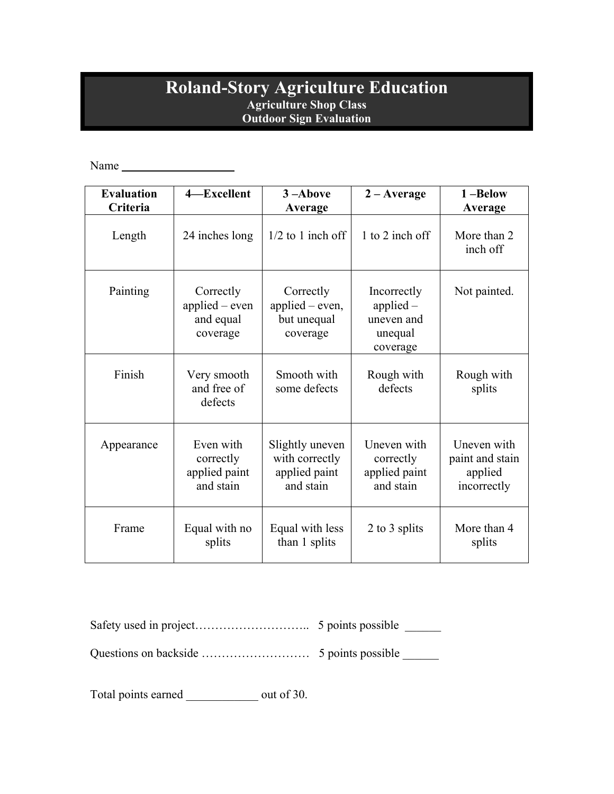## **Roland-Story Agriculture Education Agriculture Shop Class Outdoor Sign Evaluation**

Name

| <b>Evaluation</b><br>Criteria | 4-Excellent                                            | 3-Above<br>Average                                              | $2 - Average$                                                   | 1-Below<br>Average                                       |
|-------------------------------|--------------------------------------------------------|-----------------------------------------------------------------|-----------------------------------------------------------------|----------------------------------------------------------|
| Length                        | 24 inches long                                         | $1/2$ to 1 inch off                                             | 1 to 2 inch off                                                 | More than 2<br>inch off                                  |
| Painting                      | Correctly<br>applied $-$ even<br>and equal<br>coverage | Correctly<br>applied $-$ even,<br>but unequal<br>coverage       | Incorrectly<br>applied $-$<br>uneven and<br>unequal<br>coverage | Not painted.                                             |
| Finish                        | Very smooth<br>and free of<br>defects                  | Smooth with<br>some defects                                     | Rough with<br>defects                                           | Rough with<br>splits                                     |
| Appearance                    | Even with<br>correctly<br>applied paint<br>and stain   | Slightly uneven<br>with correctly<br>applied paint<br>and stain | Uneven with<br>correctly<br>applied paint<br>and stain          | Uneven with<br>paint and stain<br>applied<br>incorrectly |
| Frame                         | Equal with no<br>splits                                | Equal with less<br>than 1 splits                                | 2 to 3 splits                                                   | More than 4<br>splits                                    |

Safety used in project……………………….. 5 points possible \_\_\_\_\_\_

Questions on backside ……………………… 5 points possible \_\_\_\_\_\_

Total points earned \_\_\_\_\_\_\_\_\_\_\_\_\_\_ out of 30.